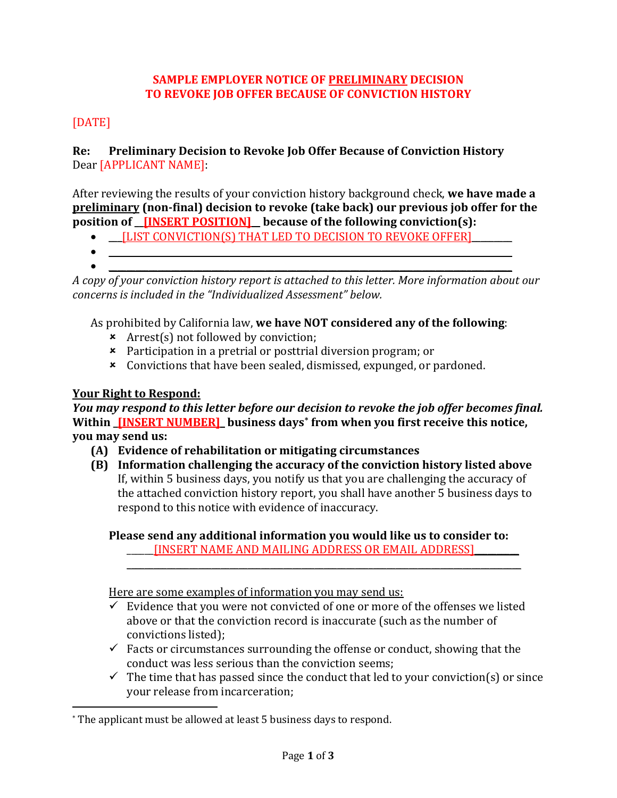### **SAMPLE EMPLOYER NOTICE OF PRELIMINARY DECISION TO REVOKE JOB OFFER BECAUSE OF CONVICTION HISTORY**

# [DATE]

### **Re: Preliminary Decision to Revoke Job Offer Because of Conviction History** Dear [APPLICANT NAME]:

After reviewing the results of your conviction history background check, **we have made a preliminary (non-final) decision to revoke (take back) our previous job offer for the position of \_\_[INSERT POSITION]\_\_ because of the following conviction(s):** 

- **ILIST CONVICTION(S) THAT LED TO DECISION TO REVOKE OFFER]**
- $\bullet$  . The contribution of the contribution of the contribution of the contribution of the contribution of the contribution of the contribution of the contribution of the contribution of the contribution of the contributi
- 

 $\overline{\phantom{a}}$ 

•  $\hspace{0.4cm}$   $\hspace{0.4cm}$   $\hspace{0.4cm}$   $\hspace{0.4cm}$   $\hspace{0.4cm}$   $\hspace{0.4cm}$   $\hspace{0.4cm}$   $\hspace{0.4cm}$   $\hspace{0.4cm}$   $\hspace{0.4cm}$   $\hspace{0.4cm}$   $\hspace{0.4cm}$   $\hspace{0.4cm}$   $\hspace{0.4cm}$   $\hspace{0.4cm}$   $\hspace{0.4cm}$   $\hspace{0.4cm}$   $\hspace{0.4cm}$   $\hs$ *A copy of your conviction history report is attached to this letter. More information about our concerns is included in the "Individualized Assessment" below.*

As prohibited by California law, **we have NOT considered any of the following**:

- Arrest(s) not followed by conviction;
- Participation in a pretrial or posttrial diversion program; or
- Convictions that have been sealed, dismissed, expunged, or pardoned.

# **Your Right to Respond:**

*You may respond to this letter before our decision to revoke the job offer becomes final.* **Within \_[INSERT NUMBER]\_ business days[\\*](#page-0-0) from when you first receive this notice, you may send us:**

- **(A) Evidence of rehabilitation or mitigating circumstances**
- **(B) Information challenging the accuracy of the conviction history listed above** If, within 5 business days, you notify us that you are challenging the accuracy of the attached conviction history report, you shall have another 5 business days to respond to this notice with evidence of inaccuracy.

**Please send any additional information you would like us to consider to:** \_\_\_\_\_\_[INSERT NAME AND MAILING ADDRESS OR EMAIL ADDRESS]\_\_\_\_\_\_\_\_\_\_

Here are some examples of information you may send us:

 $\checkmark$  Evidence that you were not convicted of one or more of the offenses we listed above or that the conviction record is inaccurate (such as the number of convictions listed);

 $\mathcal{L} = \{ \mathcal{L} = \{ \mathcal{L} = \mathcal{L} \} \cup \{ \mathcal{L} = \{ \mathcal{L} = \mathcal{L} \} \cup \{ \mathcal{L} = \{ \mathcal{L} = \mathcal{L} = \mathcal{L} \} \cup \{ \mathcal{L} = \{ \mathcal{L} = \mathcal{L} = \mathcal{L} = \mathcal{L} = \mathcal{L} \} \cup \{ \mathcal{L} = \{ \mathcal{L} = \mathcal{L} = \mathcal{L} = \mathcal{L} = \mathcal{L} = \mathcal{L} \} \cup \{ \mathcal{L} = \{ \mathcal{L}$ 

- $\checkmark$  Facts or circumstances surrounding the offense or conduct, showing that the conduct was less serious than the conviction seems;
- $\checkmark$  The time that has passed since the conduct that led to your conviction(s) or since your release from incarceration;

<span id="page-0-0"></span><sup>\*</sup> The applicant must be allowed at least 5 business days to respond.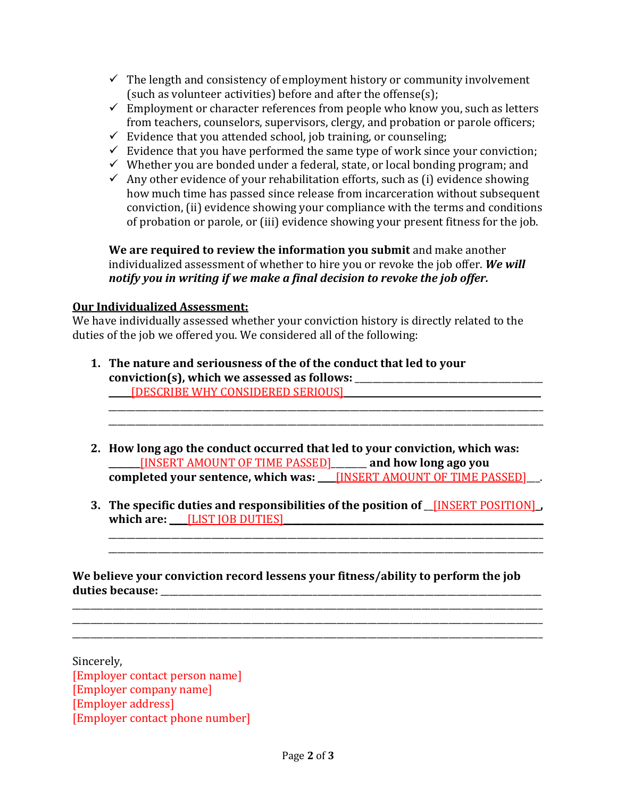- $\checkmark$  The length and consistency of employment history or community involvement (such as volunteer activities) before and after the offense(s);
- $\checkmark$  Employment or character references from people who know you, such as letters from teachers, counselors, supervisors, clergy, and probation or parole officers;
- $\checkmark$  Evidence that you attended school, job training, or counseling;
- $\checkmark$  Evidence that you have performed the same type of work since your conviction;
- $\checkmark$  Whether you are bonded under a federal, state, or local bonding program; and
- $\checkmark$  Any other evidence of your rehabilitation efforts, such as (i) evidence showing how much time has passed since release from incarceration without subsequent conviction, (ii) evidence showing your compliance with the terms and conditions of probation or parole, or (iii) evidence showing your present fitness for the job.

**We are required to review the information you submit** and make another individualized assessment of whether to hire you or revoke the job offer. *We will notify you in writing if we make a final decision to revoke the job offer.*

#### **Our Individualized Assessment:**

We have individually assessed whether your conviction history is directly related to the duties of the job we offered you. We considered all of the following:

- **1. The nature and seriousness of the of the conduct that led to your conviction(s), which we assessed as follows:** \_\_\_\_\_\_\_\_\_\_\_\_\_\_\_\_\_\_\_\_\_\_\_\_\_\_\_\_\_\_\_\_\_\_\_\_\_\_\_\_\_\_ \_\_\_\_\_[DESCRIBE WHY CONSIDERED SERIOUS]\_\_\_\_\_\_\_\_\_\_\_\_\_\_\_\_\_\_\_\_\_\_\_\_\_\_\_\_\_\_\_\_\_\_\_\_\_\_\_\_\_\_\_\_
- **2. How long ago the conduct occurred that led to your conviction, which was:**  \_\_\_\_\_\_\_[INSERT AMOUNT OF TIME PASSED]\_\_\_\_\_\_\_\_ **and how long ago you completed your sentence, which was: <u>INSERT AMOUNT OF TIME PASSED</u>**

\_\_\_\_\_\_\_\_\_\_\_\_\_\_\_\_\_\_\_\_\_\_\_\_\_\_\_\_\_\_\_\_\_\_\_\_\_\_\_\_\_\_\_\_\_\_\_\_\_\_\_\_\_\_\_\_\_\_\_\_\_\_\_\_\_\_\_\_\_\_\_\_\_\_\_\_\_\_\_\_\_\_\_\_\_\_\_\_\_\_\_\_\_\_\_\_\_

\_\_\_\_\_\_\_\_\_\_\_\_\_\_\_\_\_\_\_\_\_\_\_\_\_\_\_\_\_\_\_\_\_\_\_\_\_\_\_\_\_\_\_\_\_\_\_\_\_\_\_\_\_\_\_\_\_\_\_\_\_\_\_\_\_\_\_\_\_\_\_\_\_\_\_\_\_\_\_\_\_\_\_\_\_\_\_\_\_\_\_\_\_\_\_\_\_

**3. The specific duties and responsibilities of the position of** \_\_[INSERT POSITION]\_**,**  which are: \_\_\_\_\_<sup>[LIST</sup> JOB DUTIES]

\_\_\_\_\_\_\_\_\_\_\_\_\_\_\_\_\_\_\_\_\_\_\_\_\_\_\_\_\_\_\_\_\_\_\_\_\_\_\_\_\_\_\_\_\_\_\_\_\_\_\_\_\_\_\_\_\_\_\_\_\_\_\_\_\_\_\_\_\_\_\_\_\_\_\_\_\_\_\_\_\_\_\_\_\_\_\_\_\_\_\_\_\_\_\_\_\_ \_\_\_\_\_\_\_\_\_\_\_\_\_\_\_\_\_\_\_\_\_\_\_\_\_\_\_\_\_\_\_\_\_\_\_\_\_\_\_\_\_\_\_\_\_\_\_\_\_\_\_\_\_\_\_\_\_\_\_\_\_\_\_\_\_\_\_\_\_\_\_\_\_\_\_\_\_\_\_\_\_\_\_\_\_\_\_\_\_\_\_\_\_\_\_\_\_

**We believe your conviction record lessens your fitness/ability to perform the job duties because:** \_\_\_\_\_\_\_\_\_\_\_\_\_\_\_\_\_\_\_\_\_\_\_\_\_\_\_\_\_\_\_\_\_\_\_\_\_\_\_\_\_\_\_\_\_\_\_\_\_\_\_\_\_\_\_\_\_\_\_\_\_\_\_\_\_\_\_\_\_\_\_\_\_\_\_\_\_\_\_\_\_\_\_\_\_

\_\_\_\_\_\_\_\_\_\_\_\_\_\_\_\_\_\_\_\_\_\_\_\_\_\_\_\_\_\_\_\_\_\_\_\_\_\_\_\_\_\_\_\_\_\_\_\_\_\_\_\_\_\_\_\_\_\_\_\_\_\_\_\_\_\_\_\_\_\_\_\_\_\_\_\_\_\_\_\_\_\_\_\_\_\_\_\_\_\_\_\_\_\_\_\_\_\_\_\_\_\_\_\_\_ \_\_\_\_\_\_\_\_\_\_\_\_\_\_\_\_\_\_\_\_\_\_\_\_\_\_\_\_\_\_\_\_\_\_\_\_\_\_\_\_\_\_\_\_\_\_\_\_\_\_\_\_\_\_\_\_\_\_\_\_\_\_\_\_\_\_\_\_\_\_\_\_\_\_\_\_\_\_\_\_\_\_\_\_\_\_\_\_\_\_\_\_\_\_\_\_\_\_\_\_\_\_\_\_\_ \_\_\_\_\_\_\_\_\_\_\_\_\_\_\_\_\_\_\_\_\_\_\_\_\_\_\_\_\_\_\_\_\_\_\_\_\_\_\_\_\_\_\_\_\_\_\_\_\_\_\_\_\_\_\_\_\_\_\_\_\_\_\_\_\_\_\_\_\_\_\_\_\_\_\_\_\_\_\_\_\_\_\_\_\_\_\_\_\_\_\_\_\_\_\_\_\_\_\_\_\_\_\_\_\_

Sincerely, [Employer contact person name] [Employer company name] [Employer address] [Employer contact phone number]